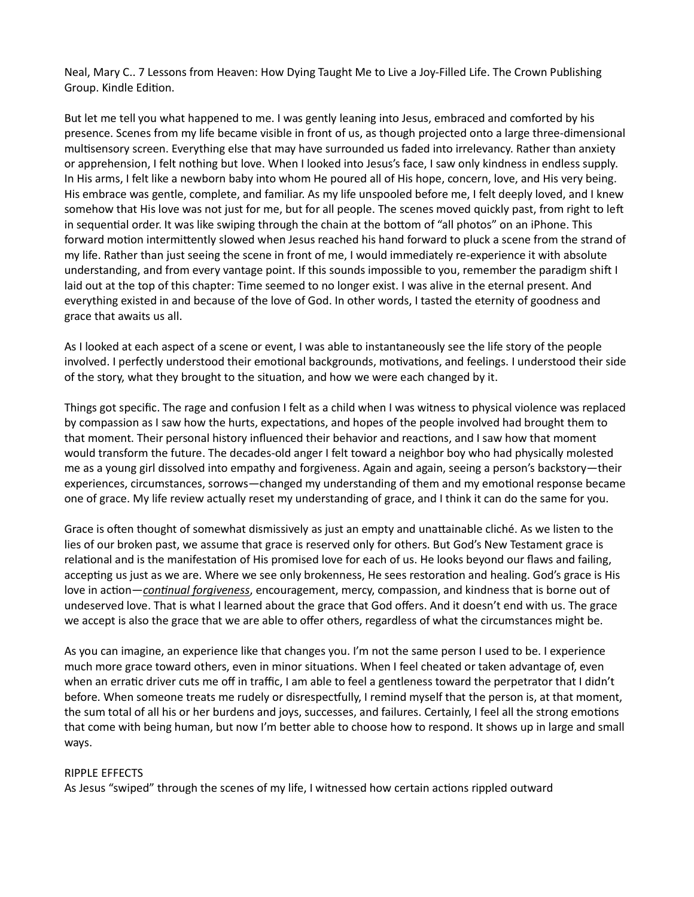Neal, Mary C.. 7 Lessons from Heaven: How Dying Taught Me to Live a Joy-Filled Life. The Crown Publishing Group. Kindle Edition.

But let me tell you what happened to me. I was gently leaning into Jesus, embraced and comforted by his presence. Scenes from my life became visible in front of us, as though projected onto a large three-dimensional multisensory screen. Everything else that may have surrounded us faded into irrelevancy. Rather than anxiety or apprehension, I felt nothing but love. When I looked into Jesus's face, I saw only kindness in endless supply. In His arms, I felt like a newborn baby into whom He poured all of His hope, concern, love, and His very being. His embrace was gentle, complete, and familiar. As my life unspooled before me, I felt deeply loved, and I knew somehow that His love was not just for me, but for all people. The scenes moved quickly past, from right to left in sequential order. It was like swiping through the chain at the bottom of "all photos" on an iPhone. This forward motion intermittently slowed when Jesus reached his hand forward to pluck a scene from the strand of my life. Rather than just seeing the scene in front of me, I would immediately re-experience it with absolute understanding, and from every vantage point. If this sounds impossible to you, remember the paradigm shift I laid out at the top of this chapter: Time seemed to no longer exist. I was alive in the eternal present. And everything existed in and because of the love of God. In other words, I tasted the eternity of goodness and grace that awaits us all.

As I looked at each aspect of a scene or event, I was able to instantaneously see the life story of the people involved. I perfectly understood their emotional backgrounds, motivations, and feelings. I understood their side of the story, what they brought to the situation, and how we were each changed by it.

Things got specific. The rage and confusion I felt as a child when I was witness to physical violence was replaced by compassion as I saw how the hurts, expectations, and hopes of the people involved had brought them to that moment. Their personal history influenced their behavior and reactions, and I saw how that moment would transform the future. The decades-old anger I felt toward a neighbor boy who had physically molested me as a young girl dissolved into empathy and forgiveness. Again and again, seeing a person's backstory—their experiences, circumstances, sorrows—changed my understanding of them and my emotional response became one of grace. My life review actually reset my understanding of grace, and I think it can do the same for you.

Grace is often thought of somewhat dismissively as just an empty and unattainable cliché. As we listen to the lies of our broken past, we assume that grace is reserved only for others. But God's New Testament grace is relational and is the manifestation of His promised love for each of us. He looks beyond our flaws and failing, accepting us just as we are. Where we see only brokenness, He sees restoration and healing. God's grace is His love in action—continual forgiveness, encouragement, mercy, compassion, and kindness that is borne out of undeserved love. That is what I learned about the grace that God offers. And it doesn't end with us. The grace we accept is also the grace that we are able to offer others, regardless of what the circumstances might be.

As you can imagine, an experience like that changes you. I'm not the same person I used to be. I experience much more grace toward others, even in minor situations. When I feel cheated or taken advantage of, even when an erratic driver cuts me off in traffic, I am able to feel a gentleness toward the perpetrator that I didn't before. When someone treats me rudely or disrespectfully, I remind myself that the person is, at that moment, the sum total of all his or her burdens and joys, successes, and failures. Certainly, I feel all the strong emotions that come with being human, but now I'm better able to choose how to respond. It shows up in large and small ways.

## RIPPLE EFFECTS

As Jesus "swiped" through the scenes of my life, I witnessed how certain actions rippled outward